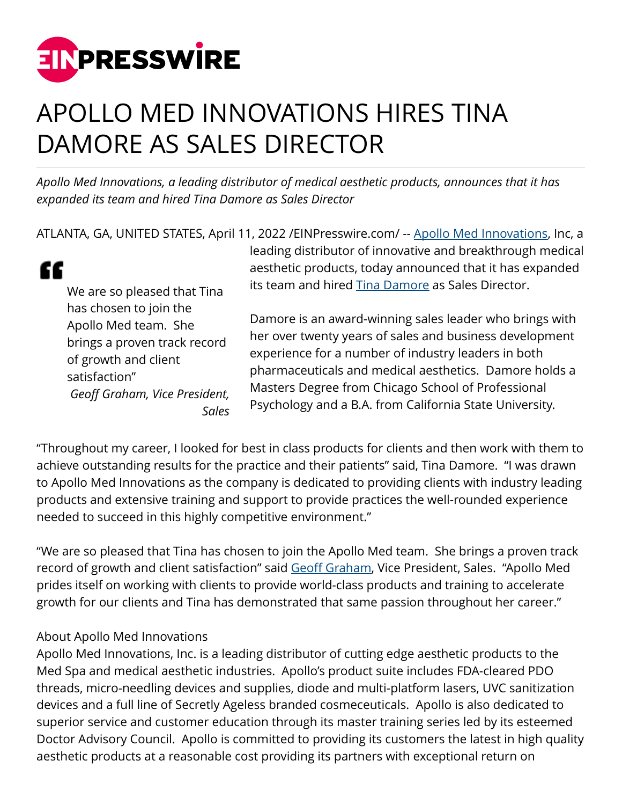

## APOLLO MED INNOVATIONS HIRES TINA DAMORE AS SALES DIRECTOR

*Apollo Med Innovations, a leading distributor of medical aesthetic products, announces that it has expanded its team and hired Tina Damore as Sales Director*

ATLANTA, GA, UNITED STATES, April 11, 2022 [/EINPresswire.com](http://www.einpresswire.com)/ -- [Apollo Med Innovations](http://www.apollomedinnovations.com), Inc, a

" We are so pleased that Tina has chosen to join the Apollo Med team. She brings a proven track record of growth and client satisfaction" *Geoff Graham, Vice President, Sales* leading distributor of innovative and breakthrough medical aesthetic products, today announced that it has expanded its team and hired [Tina Damore](http://www.apollomedinnovations.com) as Sales Director.

Damore is an award-winning sales leader who brings with her over twenty years of sales and business development experience for a number of industry leaders in both pharmaceuticals and medical aesthetics. Damore holds a Masters Degree from Chicago School of Professional Psychology and a B.A. from California State University.

"Throughout my career, I looked for best in class products for clients and then work with them to achieve outstanding results for the practice and their patients" said, Tina Damore. "I was drawn to Apollo Med Innovations as the company is dedicated to providing clients with industry leading products and extensive training and support to provide practices the well-rounded experience needed to succeed in this highly competitive environment."

"We are so pleased that Tina has chosen to join the Apollo Med team. She brings a proven track record of growth and client satisfaction" said [Geoff Graham,](http://www.apollomedinnovations.com) Vice President, Sales. "Apollo Med prides itself on working with clients to provide world-class products and training to accelerate growth for our clients and Tina has demonstrated that same passion throughout her career."

## About Apollo Med Innovations

Apollo Med Innovations, Inc. is a leading distributor of cutting edge aesthetic products to the Med Spa and medical aesthetic industries. Apollo's product suite includes FDA-cleared PDO threads, micro-needling devices and supplies, diode and multi-platform lasers, UVC sanitization devices and a full line of Secretly Ageless branded cosmeceuticals. Apollo is also dedicated to superior service and customer education through its master training series led by its esteemed Doctor Advisory Council. Apollo is committed to providing its customers the latest in high quality aesthetic products at a reasonable cost providing its partners with exceptional return on